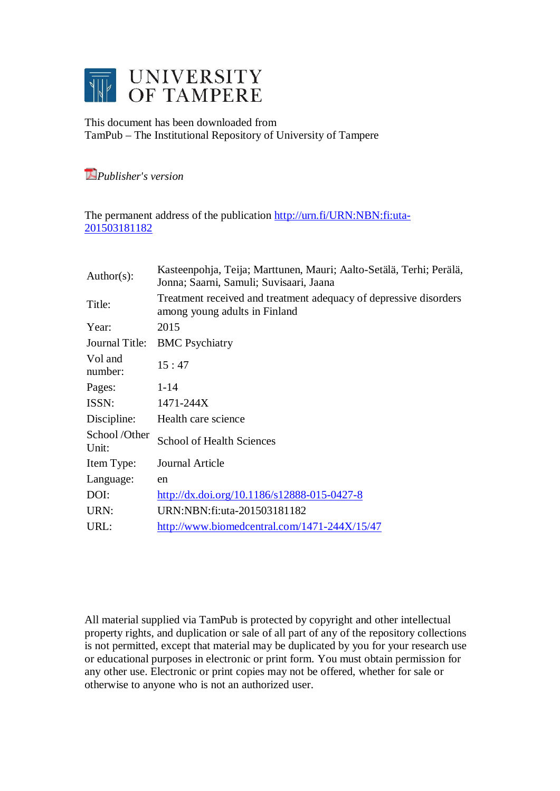

This document has been downloaded from TamPub – The Institutional Repository of University of Tampere

*Publisher's version* 

The permanent address of the publication [http://urn.fi/URN:NBN:fi:uta-](http://urn.fi/URN:NBN:fi:uta-201503181182)[201503181182](http://urn.fi/URN:NBN:fi:uta-201503181182)

| Author( $s$ ):        | Kasteenpohja, Teija; Marttunen, Mauri; Aalto-Setälä, Terhi; Perälä,<br>Jonna; Saarni, Samuli; Suvisaari, Jaana |
|-----------------------|----------------------------------------------------------------------------------------------------------------|
| Title:                | Treatment received and treatment adequacy of depressive disorders<br>among young adults in Finland             |
| Year:                 | 2015                                                                                                           |
| Journal Title:        | <b>BMC</b> Psychiatry                                                                                          |
| Vol and<br>number:    | 15:47                                                                                                          |
| Pages:                | $1 - 14$                                                                                                       |
| ISSN:                 | 1471-244X                                                                                                      |
| Discipline:           | Health care science                                                                                            |
| School/Other<br>Unit: | <b>School of Health Sciences</b>                                                                               |
| Item Type:            | Journal Article                                                                                                |
| Language:             | en                                                                                                             |
| DOI:                  | $\frac{http://dx.doi.org/10.1186/s12888-015-0427-8}{http://dx.doi.org/10.1186/s12888-015-0427-8}$              |
| URN:                  | URN:NBN:fi:uta-201503181182                                                                                    |
| URL:                  | $\frac{http://www.biomedcentral.com/1471-244X/15/47}{}$                                                        |

All material supplied via TamPub is protected by copyright and other intellectual property rights, and duplication or sale of all part of any of the repository collections is not permitted, except that material may be duplicated by you for your research use or educational purposes in electronic or print form. You must obtain permission for any other use. Electronic or print copies may not be offered, whether for sale or otherwise to anyone who is not an authorized user.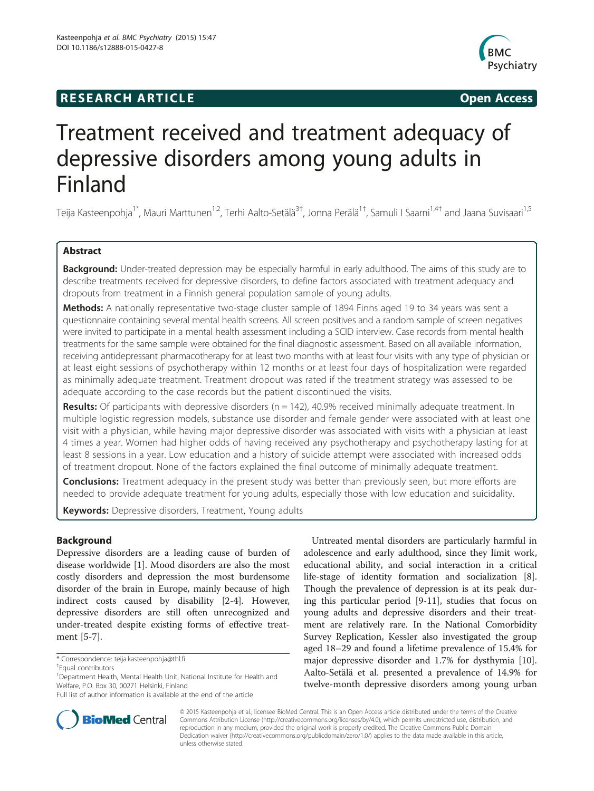## **RESEARCH ARTICLE Example 2014 CONSIDERING CONSIDERING CONSIDERING CONSIDERING CONSIDERING CONSIDERING CONSIDERING CONSIDERING CONSIDERING CONSIDERING CONSIDERING CONSIDERING CONSIDERING CONSIDERING CONSIDERING CONSIDE**



# Treatment received and treatment adequacy of depressive disorders among young adults in Finland

Teija Kasteenpohja<sup>1\*</sup>, Mauri Marttunen<sup>1,2</sup>, Terhi Aalto-Setälä<sup>3†</sup>, Jonna Perälä<sup>1†</sup>, Samuli I Saarni<sup>1,4†</sup> and Jaana Suvisaari<sup>1,5</sup>

## Abstract

Background: Under-treated depression may be especially harmful in early adulthood. The aims of this study are to describe treatments received for depressive disorders, to define factors associated with treatment adequacy and dropouts from treatment in a Finnish general population sample of young adults.

Methods: A nationally representative two-stage cluster sample of 1894 Finns aged 19 to 34 years was sent a questionnaire containing several mental health screens. All screen positives and a random sample of screen negatives were invited to participate in a mental health assessment including a SCID interview. Case records from mental health treatments for the same sample were obtained for the final diagnostic assessment. Based on all available information, receiving antidepressant pharmacotherapy for at least two months with at least four visits with any type of physician or at least eight sessions of psychotherapy within 12 months or at least four days of hospitalization were regarded as minimally adequate treatment. Treatment dropout was rated if the treatment strategy was assessed to be adequate according to the case records but the patient discontinued the visits.

**Results:** Of participants with depressive disorders ( $n = 142$ ), 40.9% received minimally adequate treatment. In multiple logistic regression models, substance use disorder and female gender were associated with at least one visit with a physician, while having major depressive disorder was associated with visits with a physician at least 4 times a year. Women had higher odds of having received any psychotherapy and psychotherapy lasting for at least 8 sessions in a year. Low education and a history of suicide attempt were associated with increased odds of treatment dropout. None of the factors explained the final outcome of minimally adequate treatment.

**Conclusions:** Treatment adequacy in the present study was better than previously seen, but more efforts are needed to provide adequate treatment for young adults, especially those with low education and suicidality.

Keywords: Depressive disorders, Treatment, Young adults

## **Background**

Depressive disorders are a leading cause of burden of disease worldwide [\[1](#page-12-0)]. Mood disorders are also the most costly disorders and depression the most burdensome disorder of the brain in Europe, mainly because of high indirect costs caused by disability [[2-4](#page-12-0)]. However, depressive disorders are still often unrecognized and under-treated despite existing forms of effective treatment [[5-7](#page-13-0)].

Untreated mental disorders are particularly harmful in adolescence and early adulthood, since they limit work, educational ability, and social interaction in a critical life-stage of identity formation and socialization [\[8](#page-13-0)]. Though the prevalence of depression is at its peak during this particular period [[9-11](#page-13-0)], studies that focus on young adults and depressive disorders and their treatment are relatively rare. In the National Comorbidity Survey Replication, Kessler also investigated the group aged 18–29 and found a lifetime prevalence of 15.4% for major depressive disorder and 1.7% for dysthymia [\[10](#page-13-0)]. Aalto-Setälä et al. presented a prevalence of 14.9% for twelve-month depressive disorders among young urban



© 2015 Kasteenpohja et al.; licensee BioMed Central. This is an Open Access article distributed under the terms of the Creative Commons Attribution License [\(http://creativecommons.org/licenses/by/4.0\)](http://creativecommons.org/licenses/by/4.0), which permits unrestricted use, distribution, and reproduction in any medium, provided the original work is properly credited. The Creative Commons Public Domain Dedication waiver [\(http://creativecommons.org/publicdomain/zero/1.0/](http://creativecommons.org/publicdomain/zero/1.0/)) applies to the data made available in this article, unless otherwise stated.

<sup>\*</sup> Correspondence: [teija.kasteenpohja@thl.fi](mailto:teija.kasteenpohja@thl.fi) †

Equal contributors

<sup>&</sup>lt;sup>1</sup>Department Health, Mental Health Unit, National Institute for Health and Welfare, P.O. Box 30, 00271 Helsinki, Finland

Full list of author information is available at the end of the article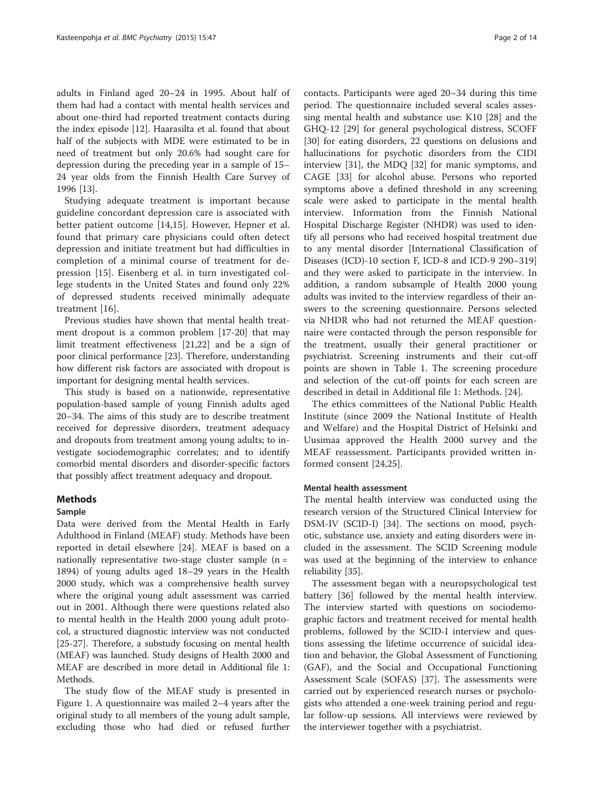adults in Finland aged 20–24 in 1995. About half of them had had a contact with mental health services and about one-third had reported treatment contacts during the index episode [\[12](#page-13-0)]. Haarasilta et al. found that about half of the subjects with MDE were estimated to be in need of treatment but only 20.6% had sought care for depression during the preceding year in a sample of 15– 24 year olds from the Finnish Health Care Survey of 1996 [\[13](#page-13-0)].

Studying adequate treatment is important because guideline concordant depression care is associated with better patient outcome [[14,15](#page-13-0)]. However, Hepner et al. found that primary care physicians could often detect depression and initiate treatment but had difficulties in completion of a minimal course of treatment for depression [[15\]](#page-13-0). Eisenberg et al. in turn investigated college students in the United States and found only 22% of depressed students received minimally adequate treatment [[16\]](#page-13-0).

Previous studies have shown that mental health treatment dropout is a common problem [\[17-20](#page-13-0)] that may limit treatment effectiveness [[21,22](#page-13-0)] and be a sign of poor clinical performance [\[23](#page-13-0)]. Therefore, understanding how different risk factors are associated with dropout is important for designing mental health services.

This study is based on a nationwide, representative population-based sample of young Finnish adults aged 20–34. The aims of this study are to describe treatment received for depressive disorders, treatment adequacy and dropouts from treatment among young adults; to investigate sociodemographic correlates; and to identify comorbid mental disorders and disorder-specific factors that possibly affect treatment adequacy and dropout.

#### Methods

#### Sample

Data were derived from the Mental Health in Early Adulthood in Finland (MEAF) study. Methods have been reported in detail elsewhere [\[24](#page-13-0)]. MEAF is based on a nationally representative two-stage cluster sample  $(n =$ 1894) of young adults aged 18–29 years in the Health 2000 study, which was a comprehensive health survey where the original young adult assessment was carried out in 2001. Although there were questions related also to mental health in the Health 2000 young adult protocol, a structured diagnostic interview was not conducted [[25-27](#page-13-0)]. Therefore, a substudy focusing on mental health (MEAF) was launched. Study designs of Health 2000 and MEAF are described in more detail in Additional file [1](#page-12-0): Methods.

The study flow of the MEAF study is presented in Figure [1.](#page-3-0) A questionnaire was mailed 2–4 years after the original study to all members of the young adult sample, excluding those who had died or refused further

contacts. Participants were aged 20–34 during this time period. The questionnaire included several scales assessing mental health and substance use: K10 [\[28](#page-13-0)] and the GHQ-12 [[29\]](#page-13-0) for general psychological distress, SCOFF [[30\]](#page-13-0) for eating disorders, 22 questions on delusions and hallucinations for psychotic disorders from the CIDI interview [\[31](#page-13-0)], the MDQ [\[32](#page-13-0)] for manic symptoms, and CAGE [\[33](#page-13-0)] for alcohol abuse. Persons who reported symptoms above a defined threshold in any screening scale were asked to participate in the mental health interview. Information from the Finnish National Hospital Discharge Register (NHDR) was used to identify all persons who had received hospital treatment due to any mental disorder [International Classification of Diseases (ICD)-10 section F, ICD-8 and ICD-9 290–319] and they were asked to participate in the interview. In addition, a random subsample of Health 2000 young adults was invited to the interview regardless of their answers to the screening questionnaire. Persons selected via NHDR who had not returned the MEAF questionnaire were contacted through the person responsible for the treatment, usually their general practitioner or psychiatrist. Screening instruments and their cut-off points are shown in Table [1.](#page-3-0) The screening procedure and selection of the cut-off points for each screen are described in detail in Additional file [1:](#page-12-0) Methods. [\[24](#page-13-0)].

The ethics committees of the National Public Health Institute (since 2009 the National Institute of Health and Welfare) and the Hospital District of Helsinki and Uusimaa approved the Health 2000 survey and the MEAF reassessment. Participants provided written informed consent [\[24,25](#page-13-0)].

#### Mental health assessment

The mental health interview was conducted using the research version of the Structured Clinical Interview for DSM-IV (SCID-I) [[34](#page-13-0)]. The sections on mood, psychotic, substance use, anxiety and eating disorders were included in the assessment. The SCID Screening module was used at the beginning of the interview to enhance reliability [[35\]](#page-13-0).

The assessment began with a neuropsychological test battery [[36\]](#page-13-0) followed by the mental health interview. The interview started with questions on sociodemographic factors and treatment received for mental health problems, followed by the SCID-I interview and questions assessing the lifetime occurrence of suicidal ideation and behavior, the Global Assessment of Functioning (GAF), and the Social and Occupational Functioning Assessment Scale (SOFAS) [[37](#page-13-0)]. The assessments were carried out by experienced research nurses or psychologists who attended a one-week training period and regular follow-up sessions. All interviews were reviewed by the interviewer together with a psychiatrist.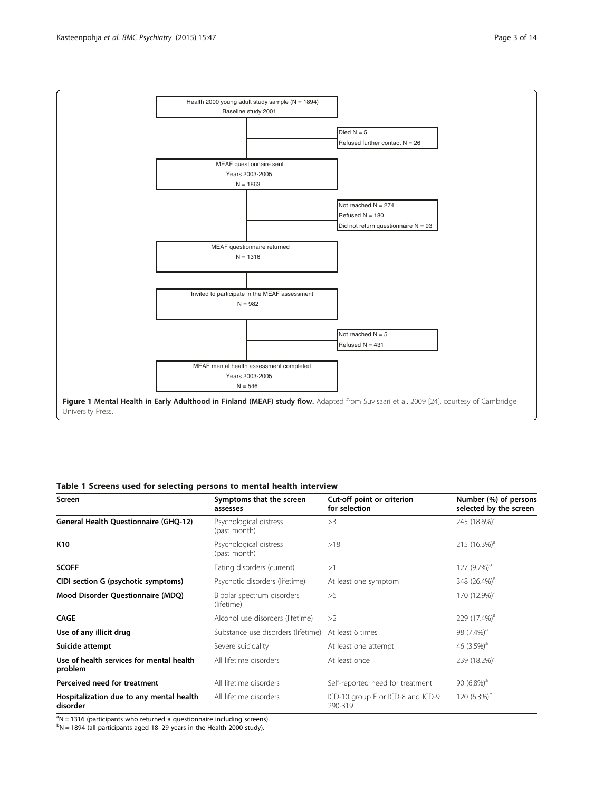<span id="page-3-0"></span>

## Table 1 Screens used for selecting persons to mental health interview

| Screen                                               | Symptoms that the screen<br>assesses     | Cut-off point or criterion<br>for selection  | Number (%) of persons<br>selected by the screen |
|------------------------------------------------------|------------------------------------------|----------------------------------------------|-------------------------------------------------|
| <b>General Health Questionnaire (GHQ-12)</b>         | Psychological distress<br>(past month)   | >3                                           | 245 (18.6%) <sup>a</sup>                        |
| K <sub>10</sub>                                      | Psychological distress<br>(past month)   | >18                                          | 215 $(16.3\%)^d$                                |
| <b>SCOFF</b>                                         | Eating disorders (current)               | >1                                           | 127(9.7%) <sup>a</sup>                          |
| CIDI section G (psychotic symptoms)                  | Psychotic disorders (lifetime)           | At least one symptom                         | 348 (26.4%) <sup>a</sup>                        |
| Mood Disorder Questionnaire (MDQ)                    | Bipolar spectrum disorders<br>(lifetime) | >6                                           | 170 (12.9%) <sup>a</sup>                        |
| <b>CAGE</b>                                          | Alcohol use disorders (lifetime)         | >2                                           | 229 (17.4%) <sup>a</sup>                        |
| Use of any illicit drug                              | Substance use disorders (lifetime)       | At least 6 times                             | 98 (7.4%) <sup>a</sup>                          |
| Suicide attempt                                      | Severe suicidality                       | At least one attempt                         | 46 $(3.5\%)^d$                                  |
| Use of health services for mental health<br>problem  | All lifetime disorders                   | At least once                                | 239 (18.2%) <sup>a</sup>                        |
| Perceived need for treatment                         | All lifetime disorders                   | Self-reported need for treatment             | 90 $(6.8\%)$ <sup>a</sup>                       |
| Hospitalization due to any mental health<br>disorder | All lifetime disorders                   | ICD-10 group F or ICD-8 and ICD-9<br>290-319 | 120 $(6.3\%)^b$                                 |

 ${}^{a}$ N = 1316 (participants who returned a questionnaire including screens).

 $b$ N = 1894 (all participants aged 18–29 years in the Health 2000 study).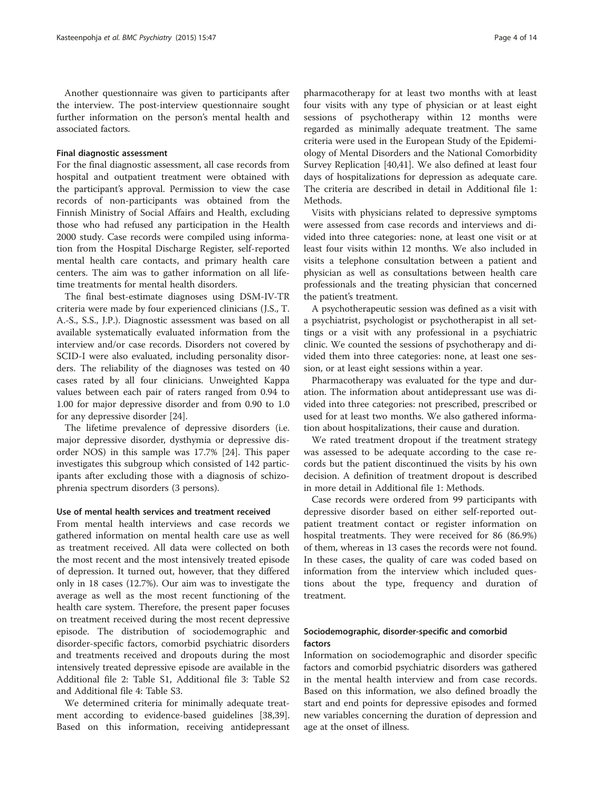Another questionnaire was given to participants after the interview. The post-interview questionnaire sought further information on the person's mental health and associated factors.

#### Final diagnostic assessment

For the final diagnostic assessment, all case records from hospital and outpatient treatment were obtained with the participant's approval. Permission to view the case records of non-participants was obtained from the Finnish Ministry of Social Affairs and Health, excluding those who had refused any participation in the Health 2000 study. Case records were compiled using information from the Hospital Discharge Register, self-reported mental health care contacts, and primary health care centers. The aim was to gather information on all lifetime treatments for mental health disorders.

The final best-estimate diagnoses using DSM-IV-TR criteria were made by four experienced clinicians (J.S., T. A.-S., S.S., J.P.). Diagnostic assessment was based on all available systematically evaluated information from the interview and/or case records. Disorders not covered by SCID-I were also evaluated, including personality disorders. The reliability of the diagnoses was tested on 40 cases rated by all four clinicians. Unweighted Kappa values between each pair of raters ranged from 0.94 to 1.00 for major depressive disorder and from 0.90 to 1.0 for any depressive disorder [\[24\]](#page-13-0).

The lifetime prevalence of depressive disorders (i.e. major depressive disorder, dysthymia or depressive disorder NOS) in this sample was 17.7% [[24\]](#page-13-0). This paper investigates this subgroup which consisted of 142 participants after excluding those with a diagnosis of schizophrenia spectrum disorders (3 persons).

## Use of mental health services and treatment received

From mental health interviews and case records we gathered information on mental health care use as well as treatment received. All data were collected on both the most recent and the most intensively treated episode of depression. It turned out, however, that they differed only in 18 cases (12.7%). Our aim was to investigate the average as well as the most recent functioning of the health care system. Therefore, the present paper focuses on treatment received during the most recent depressive episode. The distribution of sociodemographic and disorder-specific factors, comorbid psychiatric disorders and treatments received and dropouts during the most intensively treated depressive episode are available in the Additional file [2:](#page-12-0) Table S1, Additional file [3:](#page-12-0) Table S2 and Additional file [4:](#page-12-0) Table S3.

We determined criteria for minimally adequate treatment according to evidence-based guidelines [\[38,39](#page-13-0)]. Based on this information, receiving antidepressant pharmacotherapy for at least two months with at least four visits with any type of physician or at least eight sessions of psychotherapy within 12 months were regarded as minimally adequate treatment. The same criteria were used in the European Study of the Epidemiology of Mental Disorders and the National Comorbidity Survey Replication [\[40,41\]](#page-13-0). We also defined at least four days of hospitalizations for depression as adequate care. The criteria are described in detail in Additional file [1](#page-12-0): Methods.

Visits with physicians related to depressive symptoms were assessed from case records and interviews and divided into three categories: none, at least one visit or at least four visits within 12 months. We also included in visits a telephone consultation between a patient and physician as well as consultations between health care professionals and the treating physician that concerned the patient's treatment.

A psychotherapeutic session was defined as a visit with a psychiatrist, psychologist or psychotherapist in all settings or a visit with any professional in a psychiatric clinic. We counted the sessions of psychotherapy and divided them into three categories: none, at least one session, or at least eight sessions within a year.

Pharmacotherapy was evaluated for the type and duration. The information about antidepressant use was divided into three categories: not prescribed, prescribed or used for at least two months. We also gathered information about hospitalizations, their cause and duration.

We rated treatment dropout if the treatment strategy was assessed to be adequate according to the case records but the patient discontinued the visits by his own decision. A definition of treatment dropout is described in more detail in Additional file [1](#page-12-0): Methods.

Case records were ordered from 99 participants with depressive disorder based on either self-reported outpatient treatment contact or register information on hospital treatments. They were received for 86 (86.9%) of them, whereas in 13 cases the records were not found. In these cases, the quality of care was coded based on information from the interview which included questions about the type, frequency and duration of treatment.

## Sociodemographic, disorder-specific and comorbid factors

Information on sociodemographic and disorder specific factors and comorbid psychiatric disorders was gathered in the mental health interview and from case records. Based on this information, we also defined broadly the start and end points for depressive episodes and formed new variables concerning the duration of depression and age at the onset of illness.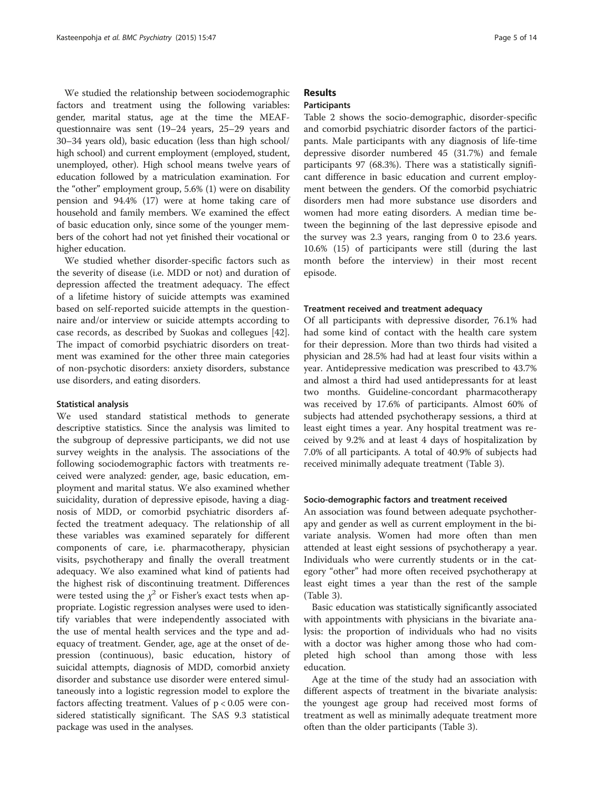We studied the relationship between sociodemographic factors and treatment using the following variables: gender, marital status, age at the time the MEAFquestionnaire was sent (19–24 years, 25–29 years and 30–34 years old), basic education (less than high school/ high school) and current employment (employed, student, unemployed, other). High school means twelve years of education followed by a matriculation examination. For the "other" employment group, 5.6% (1) were on disability pension and 94.4% (17) were at home taking care of household and family members. We examined the effect of basic education only, since some of the younger members of the cohort had not yet finished their vocational or higher education.

We studied whether disorder-specific factors such as the severity of disease (i.e. MDD or not) and duration of depression affected the treatment adequacy. The effect of a lifetime history of suicide attempts was examined based on self-reported suicide attempts in the questionnaire and/or interview or suicide attempts according to case records, as described by Suokas and collegues [\[42](#page-13-0)]. The impact of comorbid psychiatric disorders on treatment was examined for the other three main categories of non-psychotic disorders: anxiety disorders, substance use disorders, and eating disorders.

#### Statistical analysis

We used standard statistical methods to generate descriptive statistics. Since the analysis was limited to the subgroup of depressive participants, we did not use survey weights in the analysis. The associations of the following sociodemographic factors with treatments received were analyzed: gender, age, basic education, employment and marital status. We also examined whether suicidality, duration of depressive episode, having a diagnosis of MDD, or comorbid psychiatric disorders affected the treatment adequacy. The relationship of all these variables was examined separately for different components of care, i.e. pharmacotherapy, physician visits, psychotherapy and finally the overall treatment adequacy. We also examined what kind of patients had the highest risk of discontinuing treatment. Differences were tested using the  $\chi^2$  or Fisher's exact tests when appropriate. Logistic regression analyses were used to identify variables that were independently associated with the use of mental health services and the type and adequacy of treatment. Gender, age, age at the onset of depression (continuous), basic education, history of suicidal attempts, diagnosis of MDD, comorbid anxiety disorder and substance use disorder were entered simultaneously into a logistic regression model to explore the factors affecting treatment. Values of  $p < 0.05$  were considered statistically significant. The SAS 9.3 statistical package was used in the analyses.

## Results

## **Participants**

Table [2](#page-6-0) shows the socio-demographic, disorder-specific and comorbid psychiatric disorder factors of the participants. Male participants with any diagnosis of life-time depressive disorder numbered 45 (31.7%) and female participants 97 (68.3%). There was a statistically significant difference in basic education and current employment between the genders. Of the comorbid psychiatric disorders men had more substance use disorders and women had more eating disorders. A median time between the beginning of the last depressive episode and the survey was 2.3 years, ranging from 0 to 23.6 years. 10.6% (15) of participants were still (during the last month before the interview) in their most recent episode.

#### Treatment received and treatment adequacy

Of all participants with depressive disorder, 76.1% had had some kind of contact with the health care system for their depression. More than two thirds had visited a physician and 28.5% had had at least four visits within a year. Antidepressive medication was prescribed to 43.7% and almost a third had used antidepressants for at least two months. Guideline-concordant pharmacotherapy was received by 17.6% of participants. Almost 60% of subjects had attended psychotherapy sessions, a third at least eight times a year. Any hospital treatment was received by 9.2% and at least 4 days of hospitalization by 7.0% of all participants. A total of 40.9% of subjects had received minimally adequate treatment (Table [3\)](#page-7-0).

#### Socio-demographic factors and treatment received

An association was found between adequate psychotherapy and gender as well as current employment in the bivariate analysis. Women had more often than men attended at least eight sessions of psychotherapy a year. Individuals who were currently students or in the category "other" had more often received psychotherapy at least eight times a year than the rest of the sample (Table [3\)](#page-7-0).

Basic education was statistically significantly associated with appointments with physicians in the bivariate analysis: the proportion of individuals who had no visits with a doctor was higher among those who had completed high school than among those with less education.

Age at the time of the study had an association with different aspects of treatment in the bivariate analysis: the youngest age group had received most forms of treatment as well as minimally adequate treatment more often than the older participants (Table [3\)](#page-7-0).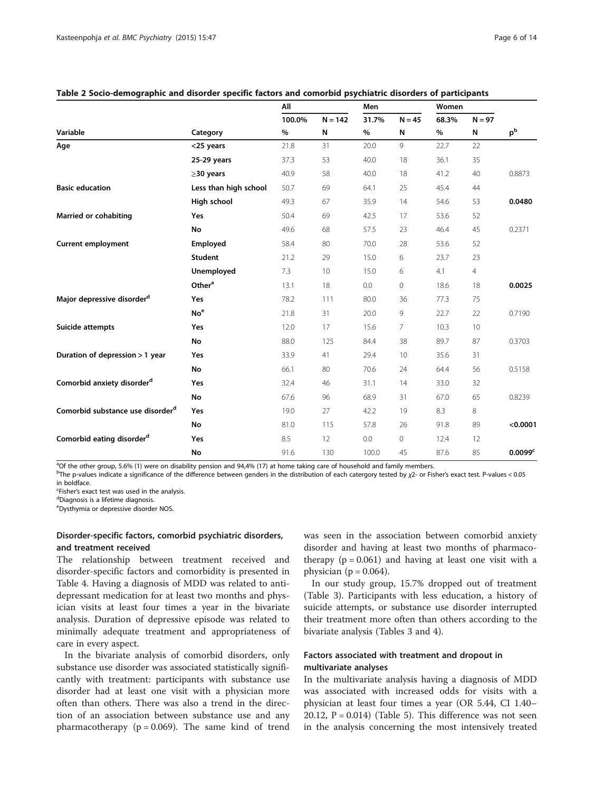|                                              |                       | All    |           | Men   |              | Women |                |                  |
|----------------------------------------------|-----------------------|--------|-----------|-------|--------------|-------|----------------|------------------|
|                                              |                       | 100.0% | $N = 142$ | 31.7% | $N = 45$     | 68.3% | $N = 97$       |                  |
| Variable                                     | Category              | %      | N         | %     | N            | %     | N              | $p^b$            |
| Age                                          | <25 years             | 21.8   | 31        | 20.0  | 9            | 22.7  | 22             |                  |
|                                              | 25-29 years           | 37.3   | 53        | 40.0  | 18           | 36.1  | 35             |                  |
|                                              | $\geq$ 30 years       | 40.9   | 58        | 40.0  | 18           | 41.2  | 40             | 0.8873           |
| <b>Basic education</b>                       | Less than high school | 50.7   | 69        | 64.1  | 25           | 45.4  | 44             |                  |
|                                              | High school           | 49.3   | 67        | 35.9  | 14           | 54.6  | 53             | 0.0480           |
| Married or cohabiting                        | <b>Yes</b>            | 50.4   | 69        | 42.5  | 17           | 53.6  | 52             |                  |
|                                              | <b>No</b>             | 49.6   | 68        | 57.5  | 23           | 46.4  | 45             | 0.2371           |
| <b>Current employment</b>                    | Employed              | 58.4   | 80        | 70.0  | 28           | 53.6  | 52             |                  |
|                                              | Student               | 21.2   | 29        | 15.0  | 6            | 23.7  | 23             |                  |
|                                              | Unemployed            | 7.3    | 10        | 15.0  | 6            | 4.1   | $\overline{4}$ |                  |
|                                              | Other <sup>a</sup>    | 13.1   | 18        | 0.0   | $\circ$      | 18.6  | 18             | 0.0025           |
| Major depressive disorder <sup>d</sup>       | Yes                   | 78.2   | 111       | 80.0  | 36           | 77.3  | 75             |                  |
|                                              | No <sup>e</sup>       | 21.8   | 31        | 20.0  | 9            | 22.7  | 22             | 0.7190           |
| Suicide attempts                             | Yes                   | 12.0   | 17        | 15.6  | 7            | 10.3  | 10             |                  |
|                                              | No                    | 88.0   | 125       | 84.4  | 38           | 89.7  | 87             | 0.3703           |
| Duration of depression > 1 year              | Yes                   | 33.9   | 41        | 29.4  | 10           | 35.6  | 31             |                  |
|                                              | <b>No</b>             | 66.1   | 80        | 70.6  | 24           | 64.4  | 56             | 0.5158           |
| Comorbid anxiety disorder <sup>d</sup>       | Yes                   | 32.4   | 46        | 31.1  | 14           | 33.0  | 32             |                  |
|                                              | No                    | 67.6   | 96        | 68.9  | 31           | 67.0  | 65             | 0.8239           |
| Comorbid substance use disorder <sup>d</sup> | Yes                   | 19.0   | 27        | 42.2  | 19           | 8.3   | 8              |                  |
|                                              | <b>No</b>             | 81.0   | 115       | 57.8  | 26           | 91.8  | 89             | < 0.0001         |
| Comorbid eating disorder <sup>d</sup>        | Yes                   | 8.5    | 12        | 0.0   | $\mathbf{0}$ | 12.4  | 12             |                  |
|                                              | <b>No</b>             | 91.6   | 130       | 100.0 | 45           | 87.6  | 85             | $0.0099^{\circ}$ |

#### <span id="page-6-0"></span>Table 2 Socio-demographic and disorder specific factors and comorbid psychiatric disorders of participants

<sup>a</sup>Of the other group, 5.6% (1) were on disability pension and 94,4% (17) at home taking care of household and family members.

 $^{\rm b}$ The p-values indicate a significance of the difference between genders in the distribution of each catergory tested by χ2- or Fisher's exact test. P-values < 0.05 in boldface.

<sup>c</sup>Fisher's exact test was used in the analysis.<br><sup>d</sup>Diagnosis is a lifetime diagnosis

<sup>d</sup>Diagnosis is a lifetime diagnosis.

e Dysthymia or depressive disorder NOS.

## Disorder-specific factors, comorbid psychiatric disorders, and treatment received

The relationship between treatment received and disorder-specific factors and comorbidity is presented in Table [4.](#page-8-0) Having a diagnosis of MDD was related to antidepressant medication for at least two months and physician visits at least four times a year in the bivariate analysis. Duration of depressive episode was related to minimally adequate treatment and appropriateness of care in every aspect.

In the bivariate analysis of comorbid disorders, only substance use disorder was associated statistically significantly with treatment: participants with substance use disorder had at least one visit with a physician more often than others. There was also a trend in the direction of an association between substance use and any pharmacotherapy ( $p = 0.069$ ). The same kind of trend was seen in the association between comorbid anxiety disorder and having at least two months of pharmacotherapy  $(p = 0.061)$  and having at least one visit with a physician ( $p = 0.064$ ).

In our study group, 15.7% dropped out of treatment (Table [3](#page-7-0)). Participants with less education, a history of suicide attempts, or substance use disorder interrupted their treatment more often than others according to the bivariate analysis (Tables [3](#page-7-0) and [4](#page-8-0)).

## Factors associated with treatment and dropout in multivariate analyses

In the multivariate analysis having a diagnosis of MDD was associated with increased odds for visits with a physician at least four times a year (OR 5.44, CI 1.40– 20.12,  $P = 0.014$ ) (Table [5\)](#page-9-0). This difference was not seen in the analysis concerning the most intensively treated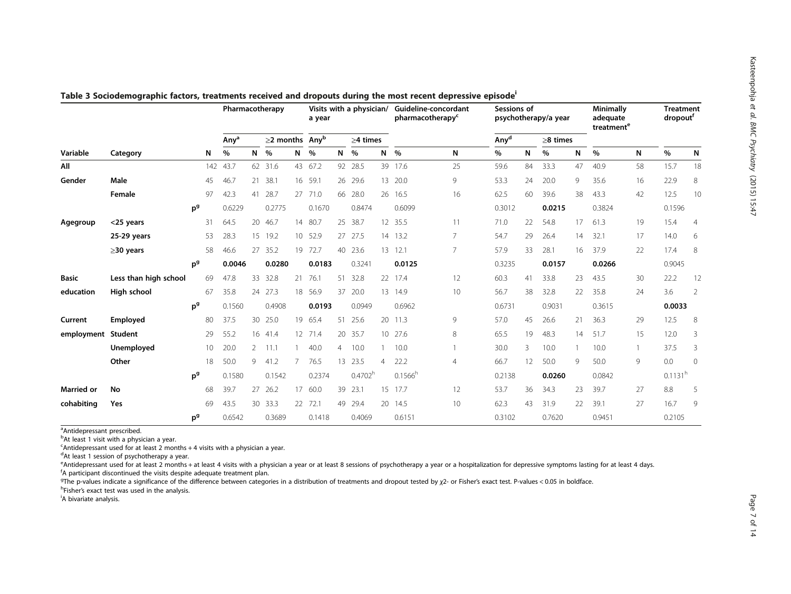|                    |                       |                |     | Pharmacotherapy  |    |                      |                 | Visits with a physician/<br>a year |    |                     |    | Guideline-concordant<br>pharmacotherapy <sup>c</sup> |                | Sessions of      |    | psychotherapy/a year |    | <b>Minimally</b><br>adequate<br>treatment <sup>e</sup> |    | <b>Treatment</b><br>dropout <sup>f</sup> |                |
|--------------------|-----------------------|----------------|-----|------------------|----|----------------------|-----------------|------------------------------------|----|---------------------|----|------------------------------------------------------|----------------|------------------|----|----------------------|----|--------------------------------------------------------|----|------------------------------------------|----------------|
|                    |                       |                |     | Any <sup>a</sup> |    | $\geq$ 2 months Anyb |                 |                                    |    | $\geq$ 4 times      |    |                                                      |                | Any <sup>d</sup> |    | >8 times             |    |                                                        |    |                                          |                |
| Variable           | Category              |                | N   | %                | N  | $\%$                 | N               | $\%$                               | N  | $\%$                | N  | $\%$                                                 | N              | $\%$             | N  | %                    | N  | $\%$                                                   | N  | %                                        | N              |
| All                |                       |                | 142 | 43.7             |    | 62 31.6              |                 | 43 67.2                            |    | 92 28.5             |    | 39 17.6                                              | 25             | 59.6             | 84 | 33.3                 | 47 | 40.9                                                   | 58 | 15.7                                     | 18             |
| Gender             | Male                  |                | 45  | 46.7             |    | 21 38.1              |                 | 16 59.1                            |    | 26 29.6             |    | 13 20.0                                              | 9              | 53.3             | 24 | 20.0                 | 9  | 35.6                                                   | 16 | 22.9                                     | 8              |
|                    | Female                |                | 97  | 42.3             | 41 | 28.7                 | 27              | 71.0                               |    | 66 28.0             |    | 26 16.5                                              | 16             | 62.5             | 60 | 39.6                 | 38 | 43.3                                                   | 42 | 12.5                                     | 10             |
|                    |                       | p <sup>g</sup> |     | 0.6229           |    | 0.2775               |                 | 0.1670                             |    | 0.8474              |    | 0.6099                                               |                | 0.3012           |    | 0.0215               |    | 0.3824                                                 |    | 0.1596                                   |                |
| Agegroup           | <25 years             |                | 31  | 64.5             |    | 20 46.7              |                 | 14 80.7                            |    | 25 38.7             |    | 12 35.5                                              | 11             | 71.0             | 22 | 54.8                 | 17 | 61.3                                                   | 19 | 15.4                                     | $\overline{4}$ |
|                    | 25-29 years           |                | 53  | 28.3             |    | 15 19.2              | 10 <sup>°</sup> | 52.9                               |    | 27 27.5             |    | 14 13.2                                              | $\overline{7}$ | 54.7             | 29 | 26.4                 | 14 | 32.1                                                   | 17 | 14.0                                     | 6              |
|                    | $\geq$ 30 years       |                | 58  | 46.6             | 27 | 35.2                 | 19              | 72.7                               |    | 40 23.6             |    | 13 12.1                                              | 7              | 57.9             | 33 | 28.1                 | 16 | 37.9                                                   | 22 | 17.4                                     | 8              |
|                    |                       | p <sup>g</sup> |     | 0.0046           |    | 0.0280               |                 | 0.0183                             |    | 0.3241              |    | 0.0125                                               |                | 0.3235           |    | 0.0157               |    | 0.0266                                                 |    | 0.9045                                   |                |
| <b>Basic</b>       | Less than high school |                | 69  | 47.8             | 33 | 32.8                 | 21              | 76.1                               | 51 | 32.8                |    | 22 17.4                                              | 12             | 60.3             | 41 | 33.8                 | 23 | 43.5                                                   | 30 | 22.2                                     | 12             |
| education          | High school           |                | 67  | 35.8             | 24 | 27.3                 | 18              | 56.9                               | 37 | 20.0                |    | 13 14.9                                              | 10             | 56.7             | 38 | 32.8                 | 22 | 35.8                                                   | 24 | 3.6                                      | 2              |
|                    |                       | p <sup>g</sup> |     | 0.1560           |    | 0.4908               |                 | 0.0193                             |    | 0.0949              |    | 0.6962                                               |                | 0.6731           |    | 0.9031               |    | 0.3615                                                 |    | 0.0033                                   |                |
| Current            | Employed              |                | 80  | 37.5             |    | 30 25.0              |                 | 19 65.4                            |    | 51 25.6             |    | 20 11.3                                              | 9              | 57.0             | 45 | 26.6                 | 21 | 36.3                                                   | 29 | 12.5                                     | 8              |
| employment Student |                       |                | 29  | 55.2             |    | 16 41.4              |                 | 12 71.4                            |    | 20 35.7             |    | 10 27.6                                              | 8              | 65.5             | 19 | 48.3                 | 14 | 51.7                                                   | 15 | 12.0                                     | 3              |
|                    | Unemployed            |                | 10  | 20.0             | 2  | 11.1                 |                 | 40.0                               | 4  | 10.0                |    | 10.0                                                 |                | 30.0             | 3  | 10.0                 |    | 10.0                                                   |    | 37.5                                     | 3              |
|                    | Other                 |                | 18  | 50.0             | 9  | 41.2                 |                 | 76.5                               |    | 13 23.5             | 4  | 22.2                                                 | 4              | 66.7             | 12 | 50.0                 | 9  | 50.0                                                   | 9  | 0.0                                      | $\Omega$       |
|                    |                       | p <sup>g</sup> |     | 0.1580           |    | 0.1542               |                 | 0.2374                             |    | 0.4702 <sup>h</sup> |    | $0.1566^{h}$                                         |                | 0.2138           |    | 0.0260               |    | 0.0842                                                 |    | 0.1131 <sup>h</sup>                      |                |
| <b>Married or</b>  | No                    |                | 68  | 39.7             | 27 | 26.2                 | 17              | 60.0                               | 39 | 23.1                | 15 | 17.7                                                 | 12             | 53.7             | 36 | 34.3                 | 23 | 39.7                                                   | 27 | 8.8                                      | 5              |
| cohabiting         | Yes                   |                | 69  | 43.5             |    | 30 33.3              |                 | 22 72.1                            | 49 | 29.4                |    | 20 14.5                                              | 10             | 62.3             | 43 | 31.9                 | 22 | 39.1                                                   | 27 | 16.7                                     | 9              |
|                    |                       | p <sup>g</sup> |     | 0.6542           |    | 0.3689               |                 | 0.1418                             |    | 0.4069              |    | 0.6151                                               |                | 0.3102           |    | 0.7620               |    | 0.9451                                                 |    | 0.2105                                   |                |

## <span id="page-7-0"></span>Table 3 Sociodemographic factors, treatments received and dropouts during the most recent depressive episode<sup>i</sup>

<sup>a</sup> Antidepressant prescribed.

<sup>b</sup>At least 1 visit with a physician a year.

 $c^2$ Antidepressant used for at least 2 months  $+$  4 visits with a physician a year.

<sup>d</sup>At least 1 session of psychotherapy a year.

e Antidepressant used for at least 2 months + at least 4 visits with a physician a year or at least 8 sessions of psychotherapy a year or a hospitalization for depressive symptoms lasting for at least 4 days.

<sup>f</sup>A participant discontinued the visits despite adequate treatment plan.

<sup>9</sup>The p-values indicate a significance of the difference between categories in a distribution of treatments and dropout tested by χ2- or Fisher's exact test. P-values < 0.05 in boldface.<br>hEisher's exact test was used in

 $\frac{1}{1}$ Fisher's exact test was used in the analysis.

<sup>i</sup>A bivariate analysis.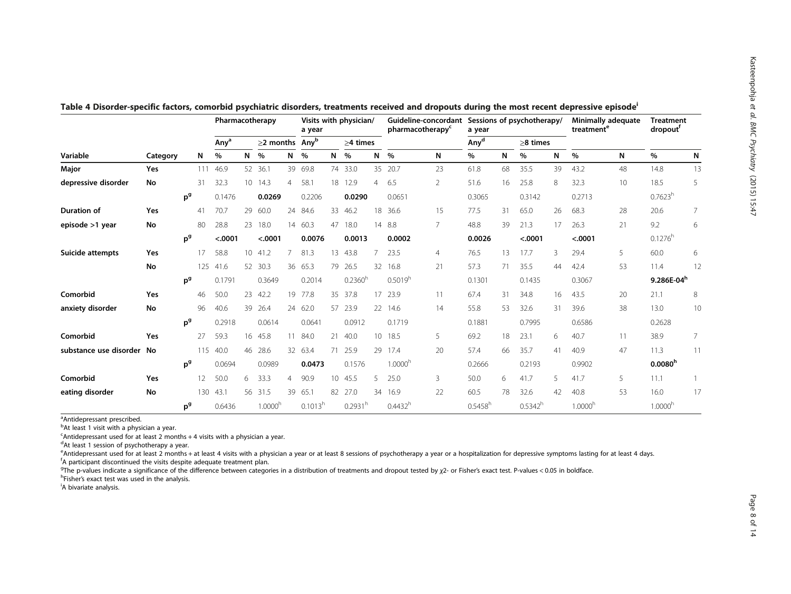|                           |           |                |         | Pharmacotherapy  |    |                      |    | a year              |    | Visits with physician/ |                | pharmacotherapy <sup>c</sup> | Guideline-concordant Sessions of psychotherapy/ | a year              |    |                     |    | <b>Minimally adequate</b><br>treatment <sup>e</sup> |    | <b>Treatment</b><br>dropout <sup>'</sup> |                |
|---------------------------|-----------|----------------|---------|------------------|----|----------------------|----|---------------------|----|------------------------|----------------|------------------------------|-------------------------------------------------|---------------------|----|---------------------|----|-----------------------------------------------------|----|------------------------------------------|----------------|
|                           |           |                |         | Any <sup>a</sup> |    | $\geq$ 2 months Anyb |    |                     |    | $\geq$ 4 times         |                |                              |                                                 | Any <sup>d</sup>    |    | $\geq$ 8 times      |    |                                                     |    |                                          |                |
| Variable                  | Category  |                | N       | $\%$             | N  | %                    |    | N %                 |    | N %                    |                | N %                          | N                                               | %                   | N  | $\%$                | N  | $\%$                                                | N  | %                                        | N              |
| Major                     | Yes       |                | $111 -$ | 46.9             |    | 52 36.1              |    | 39 69.8             |    | 74 33.0                |                | 35 20.7                      | 23                                              | 61.8                | 68 | 35.5                | 39 | 43.2                                                | 48 | 14.8                                     | 13             |
| depressive disorder       | No        |                | 31      | 32.3             |    | 10 14.3              | 4  | 58.1                | 18 | 12.9                   | $\overline{4}$ | 6.5                          | 2                                               | 51.6                | 16 | 25.8                | 8  | 32.3                                                | 10 | 18.5                                     | 5              |
|                           |           | p <sup>g</sup> |         | 0.1476           |    | 0.0269               |    | 0.2206              |    | 0.0290                 |                | 0.0651                       |                                                 | 0.3065              |    | 0.3142              |    | 0.2713                                              |    | 0.7623 <sup>h</sup>                      |                |
| <b>Duration of</b>        | Yes       |                | 41      | 70.7             | 29 | 60.0                 | 24 | 84.6                | 33 | 46.2                   | 18             | 36.6                         | 15                                              | 77.5                | 31 | 65.0                | 26 | 68.3                                                | 28 | 20.6                                     | $\overline{7}$ |
| episode >1 year           | No        |                | 80      | 28.8             | 23 | 18.0                 |    | 14 60.3             | 47 | 18.0                   |                | 14 8.8                       | 7                                               | 48.8                | 39 | 21.3                | 17 | 26.3                                                | 21 | 9.2                                      | 6              |
|                           |           | p <sup>g</sup> |         | < .0001          |    | < .0001              |    | 0.0076              |    | 0.0013                 |                | 0.0002                       |                                                 | 0.0026              |    | < .0001             |    | < .0001                                             |    | $0.1276^{h}$                             |                |
| Suicide attempts          | Yes       |                | 17      | 58.8             |    | 10 41.2              |    | 81.3                |    | 13 43.8                |                | 23.5                         | 4                                               | 76.5                | 13 | 17.7                | 3  | 29.4                                                | 5  | 60.0                                     | 6              |
|                           | <b>No</b> |                | 125     | 41.6             |    | 52 30.3              |    | 36 65.3             | 79 | 26.5                   | 32             | 16.8                         | 21                                              | 57.3                | 71 | 35.5                | 44 | 42.4                                                | 53 | 11.4                                     | 12             |
|                           |           | p <sup>g</sup> |         | 0.1791           |    | 0.3649               |    | 0.2014              |    | 0.2360 <sup>h</sup>    |                | 0.5019 <sup>h</sup>          |                                                 | 0.1301              |    | 0.1435              |    | 0.3067                                              |    | 9.286E-04 $^{\rm h}$                     |                |
| Comorbid                  | Yes       |                | 46      | 50.0             |    | 23 42.2              |    | 19 77.8             |    | 35 37.8                |                | 17 23.9                      | 11                                              | 67.4                | 31 | 34.8                | 16 | 43.5                                                | 20 | 21.1                                     | 8              |
| anxiety disorder          | No        |                | 96      | 40.6             | 39 | 26.4                 |    | 24 62.0             |    | 57 23.9                | 22             | 14.6                         | 14                                              | 55.8                | 53 | 32.6                | 31 | 39.6                                                | 38 | 13.0                                     | 10             |
|                           |           | p <sup>g</sup> |         | 0.2918           |    | 0.0614               |    | 0.0641              |    | 0.0912                 |                | 0.1719                       |                                                 | 0.1881              |    | 0.7995              |    | 0.6586                                              |    | 0.2628                                   |                |
| Comorbid                  | Yes       |                | 27      | 59.3             |    | 16 45.8              |    | 11 84.0             | 21 | 40.0                   |                | 10 18.5                      | 5                                               | 69.2                | 18 | 23.1                | 6  | 40.7                                                | 11 | 38.9                                     | $\overline{7}$ |
| substance use disorder No |           |                | 115     | 40.0             | 46 | 28.6                 |    | 32 63.4             |    | 71 25.9                | 29             | 17.4                         | 20                                              | 57.4                | 66 | 35.7                | 41 | 40.9                                                | 47 | 11.3                                     | 11             |
|                           |           | p <sup>g</sup> |         | 0.0694           |    | 0.0989               |    | 0.0473              |    | 0.1576                 |                | 1.0000 <sup>h</sup>          |                                                 | 0.2666              |    | 0.2193              |    | 0.9902                                              |    | 0.0080 <sup>h</sup>                      |                |
| Comorbid                  | Yes       |                | 12      | 50.0             | 6  | 33.3                 | 4  | 90.9                |    | 10 45.5                | 5.             | 25.0                         | 3                                               | 50.0                | 6  | 41.7                | 5  | 41.7                                                | 5  | 11.1                                     |                |
| eating disorder           | No        |                | 130     | 43.1             |    | 56 31.5              | 39 | 65.1                |    | 82 27.0                | 34             | 16.9                         | 22                                              | 60.5                | 78 | 32.6                | 42 | 40.8                                                | 53 | 16.0                                     | 17             |
|                           |           | p <sup>g</sup> |         | 0.6436           |    | 1.0000 <sup>h</sup>  |    | 0.1013 <sup>h</sup> |    | 0.2931 <sup>h</sup>    |                | 0.4432 <sup>h</sup>          |                                                 | 0.5458 <sup>h</sup> |    | 0.5342 <sup>h</sup> |    | 1.0000 <sup>h</sup>                                 |    | 1.0000 <sup>h</sup>                      |                |

<span id="page-8-0"></span>

|  | Table 4 Disorder-specific factors, comorbid psychiatric disorders, treatments received and dropouts during the most recent depressive episode |  |  |  |
|--|-----------------------------------------------------------------------------------------------------------------------------------------------|--|--|--|
|--|-----------------------------------------------------------------------------------------------------------------------------------------------|--|--|--|

<sup>a</sup> Antidepressant prescribed.

<sup>b</sup>At least 1 visit with a physician a year.

 $c^2$ Antidepressant used for at least 2 months  $+$  4 visits with a physician a year.

<sup>d</sup>At least 1 session of psychotherapy a year.

e Antidepressant used for at least 2 months + at least 4 visits with a physician a year or at least 8 sessions of psychotherapy a year or a hospitalization for depressive symptoms lasting for at least 4 days.  $A$  participant discontinued the visits despite adequate treatment plan.

<sup>9</sup>The p-values indicate a significance of the difference between categories in a distribution of treatments and dropout tested by χ2- or Fisher's exact test. P-values < 0.05 in boldface.<br>hEisher's exact test was used in

Fisher's exact test was used in the analysis.

<sup>i</sup>A bivariate analysis.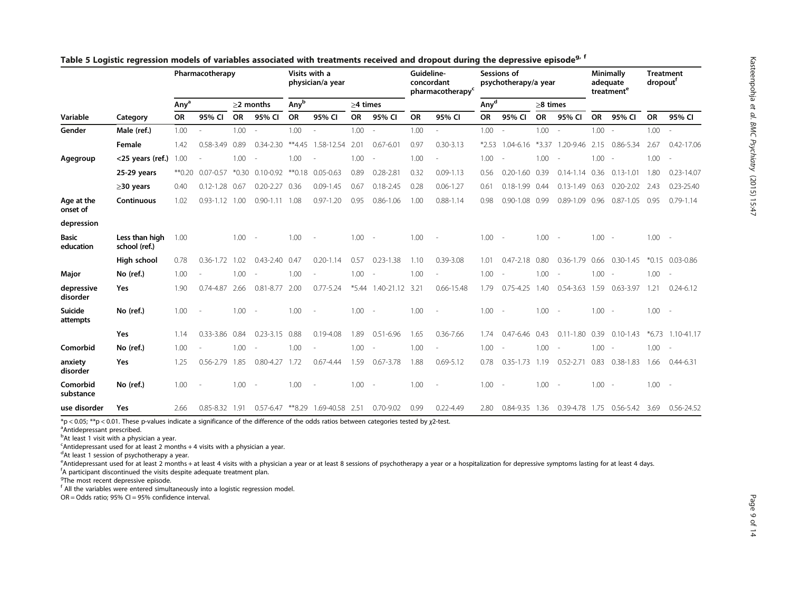|                           |                                 | Pharmacotherapy  |                    |             |                          |                       | Visits with a<br>physician/a year |           |                          | Guideline- | concordant<br>pharmacotherapy <sup>c</sup> |                  | Sessions of<br>psychotherapy/a year |           |                          | <b>Minimally</b><br>adequate<br>treatment <sup>e</sup> |                          | <b>Treatment</b><br>dropout |                 |
|---------------------------|---------------------------------|------------------|--------------------|-------------|--------------------------|-----------------------|-----------------------------------|-----------|--------------------------|------------|--------------------------------------------|------------------|-------------------------------------|-----------|--------------------------|--------------------------------------------------------|--------------------------|-----------------------------|-----------------|
|                           |                                 | Any <sup>a</sup> |                    | $>2$ months |                          | Anyb                  |                                   | >4 times  |                          |            |                                            | Any <sup>d</sup> |                                     | >8 times  |                          |                                                        |                          |                             |                 |
| Variable                  | Category                        | <b>OR</b>        | 95% CI             | <b>OR</b>   | 95% CI                   | <b>OR</b>             | 95% CI                            | <b>OR</b> | 95% CI                   | <b>OR</b>  | 95% CI                                     | <b>OR</b>        | 95% CI                              | <b>OR</b> | 95% CI                   | <b>OR</b>                                              | 95% CI                   | <b>OR</b>                   | 95% CI          |
| Gender                    | Male (ref.)                     | 1.00             | i,                 | 1.00        | $\sim$                   | 1.00                  | $\overline{a}$                    | 1.00      | $\overline{\phantom{a}}$ | 1.00       |                                            | 1.00             | ł,                                  | 1.00      | $\overline{\phantom{a}}$ | 1.00                                                   | $\overline{\phantom{a}}$ | 1.00                        | $\sim$          |
|                           | Female                          | 1.42             | $0.58 - 3.49$      | 0.89        | $0.34 - 2.30$            | $**4.45$              | 1.58-12.54                        | 2.01      | $0.67 - 6.01$            | 0.97       | $0.30 - 3.13$                              | $*2.53$          | 1.04-6.16                           | $*3.37$   | 1.20-9.46                |                                                        | 2.15 0.86-5.34           | 2.67                        | 0.42-17.06      |
| Agegroup                  | <25 years (ref.)                | 1.00             |                    | 1.00        | $\sim$                   | 1.00                  | $\overline{a}$                    | 1.00      | $\sim$                   | 1.00       | $\overline{\phantom{a}}$                   | 1.00             | $\sim$                              | 1.00      | $\overline{\phantom{a}}$ | 1.00                                                   | $\overline{\phantom{a}}$ | 1.00                        | $\sim$          |
|                           | 25-29 years                     | $**0.20$         | $0.07 - 0.57$      | $*0.30$     | $0.10 - 0.92$            | $*$ <sup>6</sup> 0.18 | $0.05 - 0.63$                     | 0.89      | $0.28 - 2.81$            | 0.32       | $0.09 - 1.13$                              | 0.56             | $0.20 - 1.60$                       | 0.39      | $0.14 - 1.14$            | 0.36                                                   | $0.13 - 1.01$            | 1.80                        | $0.23 - 14.07$  |
|                           | $\geq$ 30 years                 | 0.40             | $0.12 - 1.28$      | 0.67        | $0.20 - 2.27$            | 0.36                  | $0.09 - 1.45$                     | 0.67      | $0.18 - 2.45$            | 0.28       | $0.06 - 1.27$                              | 0.61             | $0.18 - 1.99$                       | 0.44      | $0.13 - 1.49$            | 0.63                                                   | $0.20 - 2.02$            | 2.43                        | $0.23 - 25.40$  |
| Age at the<br>onset of    | Continuous                      | 1.02             | $0.93 - 1.12$ 1.00 |             | 0.90-1.11 1.08           |                       | $0.97 - 1.20$                     | 0.95      | $0.86 - 1.06$            | 1.00       | $0.88 - 1.14$                              | 0.98             | 0.90-1.08 0.99                      |           | 0.89-1.09 0.96           |                                                        | $0.87 - 1.05$            | 0.95                        | $0.79 - 1.14$   |
| depression                |                                 |                  |                    |             |                          |                       |                                   |           |                          |            |                                            |                  |                                     |           |                          |                                                        |                          |                             |                 |
| <b>Basic</b><br>education | Less than high<br>school (ref.) | 1.00             |                    | $1.00 -$    |                          | 1.00                  | $\sim$                            | 1.00      | $\sim$                   | 1.00       | $\sim$                                     | 1.00             | $\sim$                              | 1.00      | $\sim$ $-$               | $1.00 -$                                               |                          | $1.00 -$                    |                 |
|                           | High school                     | 0.78             | $0.36 - 1.72$      | 1.02        | $0.43 - 2.40$            | 0.47                  | $0.20 - 1.14$                     | 0.57      | $0.23 - 1.38$            | 1.10       | $0.39 - 3.08$                              | 1.01             | $0.47 - 2.18$                       | 0.80      | $0.36 - 1.79$            | 0.66                                                   | $0.30 - 1.45$            |                             | *0.15 0.03-0.86 |
| Major                     | No (ref.)                       | 1.00             |                    | 1.00        | $\overline{\phantom{a}}$ | 1.00                  |                                   | 1.00      | ٠                        | 1.00       |                                            | 1.00             | $\overline{\phantom{a}}$            | 1.00      |                          | 1.00                                                   | ٠                        | 1.00                        | $\sim$          |
| depressive<br>disorder    | Yes                             | 1.90             | $0.74 - 4.87$      | 2.66        | $0.81 - 8.77$            | 2.00                  | $0.77 - 5.24$                     | $*5.44$   | 1.40-21.12               | 3.21       | $0.66 - 15.48$                             | 1.79             | $0.75 - 4.25$                       | 1.40      | $0.54 - 3.63$            | 1.59                                                   | 0.63-3.97                | 1.21                        | $0.24 - 6.12$   |
| Suicide<br>attempts       | No (ref.)                       | 1.00             |                    | 1.00        | $\sim$                   | 1.00                  | $\overline{\phantom{a}}$          | 1.00      | $\sim$                   | 1.00       | $\sim$                                     | 1.00             | $\overline{\phantom{a}}$            | 1.00      | $\sim$                   | 1.00                                                   | $\overline{\phantom{a}}$ | $1.00 -$                    |                 |
|                           | Yes                             | 1.14             | $0.33 - 3.86$      | 0.84        | $0.23 - 3.15$            | 0.88                  | $0.19 - 4.08$                     | 1.89      | $0.51 - 6.96$            | 1.65       | $0.36 - 7.66$                              | 1.74             | $0.47 - 6.46$                       | 0.43      | $0.11 - 1.80$            | 0.39                                                   | $0.10 - 1.43$            | $*6.73$                     | 1.10-41.17      |
| Comorbid                  | No (ref.)                       | 1.00             |                    | 1.00        | ×,                       | 1.00                  |                                   | 1.00      | $\overline{\phantom{a}}$ | 1.00       |                                            | 1.00             |                                     | 1.00      |                          | 1.00                                                   | $\overline{\phantom{a}}$ | 1.00                        | $\sim$          |
| anxiety<br>disorder       | Yes                             | 1.25             | $0.56 - 2.79$      | 1.85        | $0.80 - 4.27$            | 1.72                  | $0.67 - 4.44$                     | 1.59      | $0.67 - 3.78$            | 1.88       | $0.69 - 5.12$                              | 0.78             | $0.35 - 1.73$                       | 1.19      | $0.52 - 2.71$            | 0.83                                                   | 0.38-1.83                | 1.66                        | $0.44 - 6.31$   |
| Comorbid<br>substance     | No (ref.)                       | 1.00             |                    | 1.00        | $\sim$                   | 1.00                  | $\overline{\phantom{a}}$          | 1.00      | $\sim$                   | 1.00       | $\sim$                                     | 1.00             | $\overline{\phantom{a}}$            | 1.00      | $\sim$ $-$               | $1.00 -$                                               |                          | $1.00 -$                    |                 |
| use disorder              | Yes                             | 2.66             | 0.85-8.32 1.91     |             | $0.57 - 6.47$            | **8.29                | 1.69-40.58 2.51                   |           | $0.70 - 9.02$            | 0.99       | $0.22 - 4.49$                              | 2.80             | 0.84-9.35                           | 1.36      |                          |                                                        | 0.39-4.78 1.75 0.56-5.42 | 3.69                        | 0.56-24.52      |

## <span id="page-9-0"></span>Table 5 Logistic regression models of variables associated with treatments received and dropout during the depressive episode<sup>g, f</sup>

\*p < 0.05; \*\*p < 0.01. These p-values indicate a significance of the difference of the odds ratios between categories tested by  $\chi$ 2-test.

<sup>a</sup>Antidepressant prescribed.

<sup>b</sup>At least 1 visit with a physician a year.

 $c^2$ Antidepressant used for at least 2 months  $+$  4 visits with a physician a year.

<sup>d</sup>At least 1 session of psychotherapy a year.

e Antidepressant used for at least 2 months + at least 4 visits with a physician a year or at least 8 sessions of psychotherapy a year or a hospitalization for depressive symptoms lasting for at least 4 days.

<sup>f</sup>A participant discontinued the visits despite adequate treatment plan.

<sup>9</sup>The most recent depressive episode.

<sup>f</sup> All the variables were entered simultaneously into a logistic regression model.

 $OR = Odds$  ratio; 95% CI = 95% confidence interval.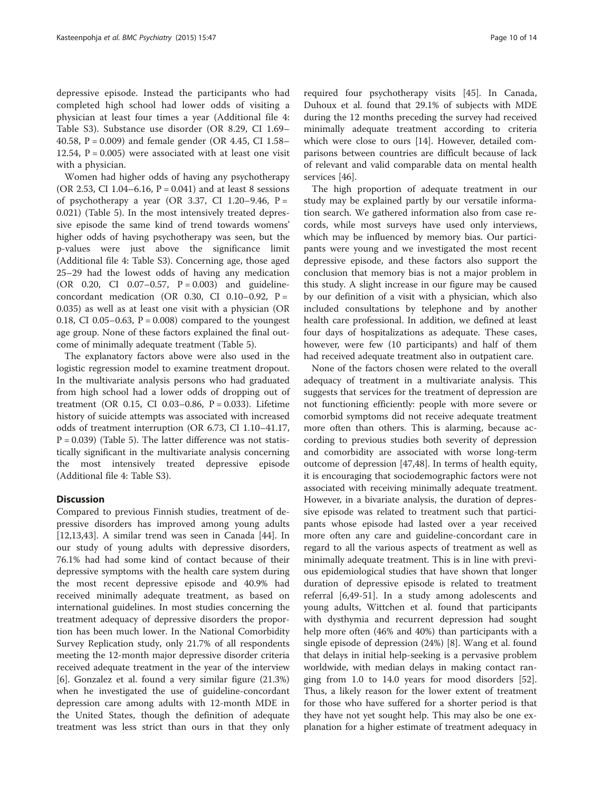depressive episode. Instead the participants who had completed high school had lower odds of visiting a physician at least four times a year (Additional file [4](#page-12-0): Table S3). Substance use disorder (OR 8.29, CI 1.69– 40.58, P = 0.009) and female gender (OR 4.45, CI 1.58– 12.54,  $P = 0.005$ ) were associated with at least one visit with a physician.

Women had higher odds of having any psychotherapy (OR 2.53, CI 1.04–6.16,  $P = 0.041$ ) and at least 8 sessions of psychotherapy a year (OR 3.37, CI 1.20-9.46,  $P =$ 0.021) (Table [5](#page-9-0)). In the most intensively treated depressive episode the same kind of trend towards womens' higher odds of having psychotherapy was seen, but the p-values were just above the significance limit (Additional file [4](#page-12-0): Table S3). Concerning age, those aged 25–29 had the lowest odds of having any medication (OR 0.20, CI 0.07-0.57,  $P = 0.003$ ) and guidelineconcordant medication (OR 0.30, CI 0.10-0.92,  $P =$ 0.035) as well as at least one visit with a physician (OR 0.18, CI 0.05–0.63,  $P = 0.008$  compared to the youngest age group. None of these factors explained the final outcome of minimally adequate treatment (Table [5\)](#page-9-0).

The explanatory factors above were also used in the logistic regression model to examine treatment dropout. In the multivariate analysis persons who had graduated from high school had a lower odds of dropping out of treatment (OR 0.15, CI 0.03–0.86, P = 0.033). Lifetime history of suicide attempts was associated with increased odds of treatment interruption (OR 6.73, CI 1.10–41.17,  $P = 0.039$ ) (Table [5\)](#page-9-0). The latter difference was not statistically significant in the multivariate analysis concerning the most intensively treated depressive episode (Additional file [4](#page-12-0): Table S3).

## **Discussion**

Compared to previous Finnish studies, treatment of depressive disorders has improved among young adults [[12,13,43\]](#page-13-0). A similar trend was seen in Canada [[44\]](#page-13-0). In our study of young adults with depressive disorders, 76.1% had had some kind of contact because of their depressive symptoms with the health care system during the most recent depressive episode and 40.9% had received minimally adequate treatment, as based on international guidelines. In most studies concerning the treatment adequacy of depressive disorders the proportion has been much lower. In the National Comorbidity Survey Replication study, only 21.7% of all respondents meeting the 12-month major depressive disorder criteria received adequate treatment in the year of the interview [[6\]](#page-13-0). Gonzalez et al. found a very similar figure (21.3%) when he investigated the use of guideline-concordant depression care among adults with 12-month MDE in the United States, though the definition of adequate treatment was less strict than ours in that they only

required four psychotherapy visits [\[45](#page-13-0)]. In Canada, Duhoux et al. found that 29.1% of subjects with MDE during the 12 months preceding the survey had received minimally adequate treatment according to criteria which were close to ours [\[14](#page-13-0)]. However, detailed comparisons between countries are difficult because of lack of relevant and valid comparable data on mental health services [[46](#page-13-0)].

The high proportion of adequate treatment in our study may be explained partly by our versatile information search. We gathered information also from case records, while most surveys have used only interviews, which may be influenced by memory bias. Our participants were young and we investigated the most recent depressive episode, and these factors also support the conclusion that memory bias is not a major problem in this study. A slight increase in our figure may be caused by our definition of a visit with a physician, which also included consultations by telephone and by another health care professional. In addition, we defined at least four days of hospitalizations as adequate. These cases, however, were few (10 participants) and half of them had received adequate treatment also in outpatient care.

None of the factors chosen were related to the overall adequacy of treatment in a multivariate analysis. This suggests that services for the treatment of depression are not functioning efficiently: people with more severe or comorbid symptoms did not receive adequate treatment more often than others. This is alarming, because according to previous studies both severity of depression and comorbidity are associated with worse long-term outcome of depression [\[47,48\]](#page-13-0). In terms of health equity, it is encouraging that sociodemographic factors were not associated with receiving minimally adequate treatment. However, in a bivariate analysis, the duration of depressive episode was related to treatment such that participants whose episode had lasted over a year received more often any care and guideline-concordant care in regard to all the various aspects of treatment as well as minimally adequate treatment. This is in line with previous epidemiological studies that have shown that longer duration of depressive episode is related to treatment referral [\[6,49](#page-13-0)-[51\]](#page-14-0). In a study among adolescents and young adults, Wittchen et al. found that participants with dysthymia and recurrent depression had sought help more often (46% and 40%) than participants with a single episode of depression (24%) [\[8](#page-13-0)]. Wang et al. found that delays in initial help-seeking is a pervasive problem worldwide, with median delays in making contact ranging from 1.0 to 14.0 years for mood disorders [\[52](#page-14-0)]. Thus, a likely reason for the lower extent of treatment for those who have suffered for a shorter period is that they have not yet sought help. This may also be one explanation for a higher estimate of treatment adequacy in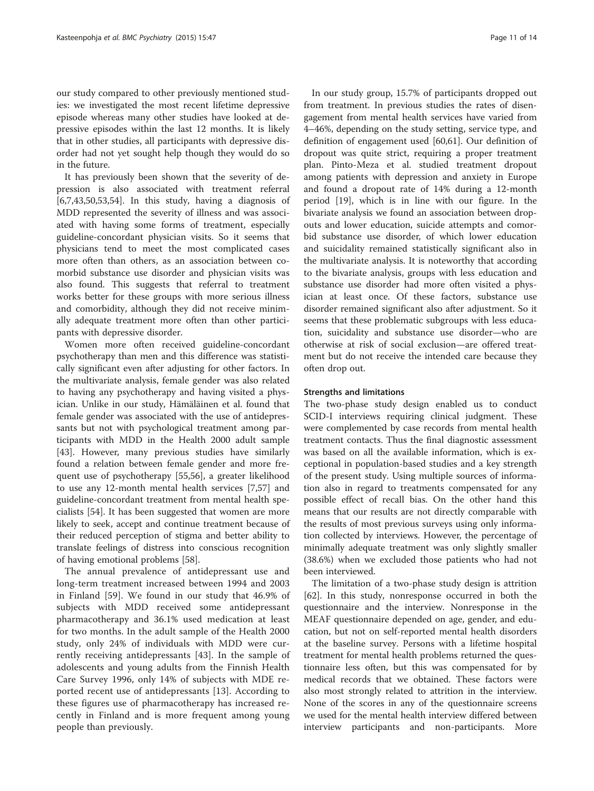our study compared to other previously mentioned studies: we investigated the most recent lifetime depressive episode whereas many other studies have looked at depressive episodes within the last 12 months. It is likely that in other studies, all participants with depressive disorder had not yet sought help though they would do so in the future.

It has previously been shown that the severity of depression is also associated with treatment referral [[6,7,43,](#page-13-0)[50,53,54\]](#page-14-0). In this study, having a diagnosis of MDD represented the severity of illness and was associated with having some forms of treatment, especially guideline-concordant physician visits. So it seems that physicians tend to meet the most complicated cases more often than others, as an association between comorbid substance use disorder and physician visits was also found. This suggests that referral to treatment works better for these groups with more serious illness and comorbidity, although they did not receive minimally adequate treatment more often than other participants with depressive disorder.

Women more often received guideline-concordant psychotherapy than men and this difference was statistically significant even after adjusting for other factors. In the multivariate analysis, female gender was also related to having any psychotherapy and having visited a physician. Unlike in our study, Hämäläinen et al. found that female gender was associated with the use of antidepressants but not with psychological treatment among participants with MDD in the Health 2000 adult sample [[43\]](#page-13-0). However, many previous studies have similarly found a relation between female gender and more frequent use of psychotherapy [[55,56\]](#page-14-0), a greater likelihood to use any 12-month mental health services [\[7](#page-13-0)[,57](#page-14-0)] and guideline-concordant treatment from mental health specialists [\[54](#page-14-0)]. It has been suggested that women are more likely to seek, accept and continue treatment because of their reduced perception of stigma and better ability to translate feelings of distress into conscious recognition of having emotional problems [[58](#page-14-0)].

The annual prevalence of antidepressant use and long-term treatment increased between 1994 and 2003 in Finland [[59](#page-14-0)]. We found in our study that 46.9% of subjects with MDD received some antidepressant pharmacotherapy and 36.1% used medication at least for two months. In the adult sample of the Health 2000 study, only 24% of individuals with MDD were currently receiving antidepressants [[43\]](#page-13-0). In the sample of adolescents and young adults from the Finnish Health Care Survey 1996, only 14% of subjects with MDE reported recent use of antidepressants [[13\]](#page-13-0). According to these figures use of pharmacotherapy has increased recently in Finland and is more frequent among young people than previously.

In our study group, 15.7% of participants dropped out from treatment. In previous studies the rates of disengagement from mental health services have varied from 4–46%, depending on the study setting, service type, and definition of engagement used [\[60,61\]](#page-14-0). Our definition of dropout was quite strict, requiring a proper treatment plan. Pinto-Meza et al. studied treatment dropout among patients with depression and anxiety in Europe and found a dropout rate of 14% during a 12-month period [[19\]](#page-13-0), which is in line with our figure. In the bivariate analysis we found an association between dropouts and lower education, suicide attempts and comorbid substance use disorder, of which lower education and suicidality remained statistically significant also in the multivariate analysis. It is noteworthy that according to the bivariate analysis, groups with less education and substance use disorder had more often visited a physician at least once. Of these factors, substance use disorder remained significant also after adjustment. So it seems that these problematic subgroups with less education, suicidality and substance use disorder—who are otherwise at risk of social exclusion—are offered treatment but do not receive the intended care because they often drop out.

#### Strengths and limitations

The two-phase study design enabled us to conduct SCID-I interviews requiring clinical judgment. These were complemented by case records from mental health treatment contacts. Thus the final diagnostic assessment was based on all the available information, which is exceptional in population-based studies and a key strength of the present study. Using multiple sources of information also in regard to treatments compensated for any possible effect of recall bias. On the other hand this means that our results are not directly comparable with the results of most previous surveys using only information collected by interviews. However, the percentage of minimally adequate treatment was only slightly smaller (38.6%) when we excluded those patients who had not been interviewed.

The limitation of a two-phase study design is attrition [[62\]](#page-14-0). In this study, nonresponse occurred in both the questionnaire and the interview. Nonresponse in the MEAF questionnaire depended on age, gender, and education, but not on self-reported mental health disorders at the baseline survey. Persons with a lifetime hospital treatment for mental health problems returned the questionnaire less often, but this was compensated for by medical records that we obtained. These factors were also most strongly related to attrition in the interview. None of the scores in any of the questionnaire screens we used for the mental health interview differed between interview participants and non-participants. More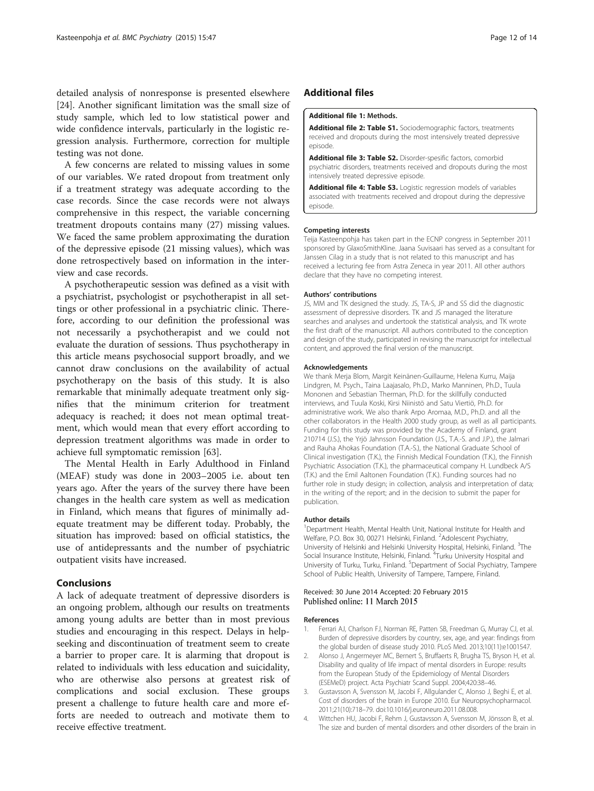<span id="page-12-0"></span>detailed analysis of nonresponse is presented elsewhere [[24\]](#page-13-0). Another significant limitation was the small size of study sample, which led to low statistical power and wide confidence intervals, particularly in the logistic regression analysis. Furthermore, correction for multiple testing was not done.

A few concerns are related to missing values in some of our variables. We rated dropout from treatment only if a treatment strategy was adequate according to the case records. Since the case records were not always comprehensive in this respect, the variable concerning treatment dropouts contains many (27) missing values. We faced the same problem approximating the duration of the depressive episode (21 missing values), which was done retrospectively based on information in the interview and case records.

A psychotherapeutic session was defined as a visit with a psychiatrist, psychologist or psychotherapist in all settings or other professional in a psychiatric clinic. Therefore, according to our definition the professional was not necessarily a psychotherapist and we could not evaluate the duration of sessions. Thus psychotherapy in this article means psychosocial support broadly, and we cannot draw conclusions on the availability of actual psychotherapy on the basis of this study. It is also remarkable that minimally adequate treatment only signifies that the minimum criterion for treatment adequacy is reached; it does not mean optimal treatment, which would mean that every effort according to depression treatment algorithms was made in order to achieve full symptomatic remission [\[63\]](#page-14-0).

The Mental Health in Early Adulthood in Finland (MEAF) study was done in 2003–2005 i.e. about ten years ago. After the years of the survey there have been changes in the health care system as well as medication in Finland, which means that figures of minimally adequate treatment may be different today. Probably, the situation has improved: based on official statistics, the use of antidepressants and the number of psychiatric outpatient visits have increased.

## Conclusions

A lack of adequate treatment of depressive disorders is an ongoing problem, although our results on treatments among young adults are better than in most previous studies and encouraging in this respect. Delays in helpseeking and discontinuation of treatment seem to create a barrier to proper care. It is alarming that dropout is related to individuals with less education and suicidality, who are otherwise also persons at greatest risk of complications and social exclusion. These groups present a challenge to future health care and more efforts are needed to outreach and motivate them to receive effective treatment.

## Additional files

## [Additional file 1:](http://www.biomedcentral.com/content/supplementary/s12888-015-0427-8-s1.doc) Methods.

[Additional file 2: Table S1.](http://www.biomedcentral.com/content/supplementary/s12888-015-0427-8-s2.doc) Sociodemographic factors, treatments received and dropouts during the most intensively treated depressive episode.

[Additional file 3: Table S2.](http://www.biomedcentral.com/content/supplementary/s12888-015-0427-8-s3.doc) Disorder-spesific factors, comorbid psychiatric disorders, treatments received and dropouts during the most intensively treated depressive episode.

[Additional file 4: Table S3.](http://www.biomedcentral.com/content/supplementary/s12888-015-0427-8-s4.doc) Logistic regression models of variables associated with treatments received and dropout during the depressive episode.

#### Competing interests

Teija Kasteenpohja has taken part in the ECNP congress in September 2011 sponsored by GlaxoSmithKline. Jaana Suvisaari has served as a consultant for Janssen Cilag in a study that is not related to this manuscript and has received a lecturing fee from Astra Zeneca in year 2011. All other authors declare that they have no competing interest.

#### Authors' contributions

JS, MM and TK designed the study. JS, TA-S, JP and SS did the diagnostic assessment of depressive disorders. TK and JS managed the literature searches and analyses and undertook the statistical analysis, and TK wrote the first draft of the manuscript. All authors contributed to the conception and design of the study, participated in revising the manuscript for intellectual content, and approved the final version of the manuscript.

#### Acknowledgements

We thank Merja Blom, Margit Keinänen-Guillaume, Helena Kurru, Maija Lindgren, M. Psych., Taina Laajasalo, Ph.D., Marko Manninen, Ph.D., Tuula Mononen and Sebastian Therman, Ph.D. for the skillfully conducted interviews, and Tuula Koski, Kirsi Niinistö and Satu Viertiö, Ph.D. for administrative work. We also thank Arpo Aromaa, M.D., Ph.D. and all the other collaborators in the Health 2000 study group, as well as all participants. Funding for this study was provided by the Academy of Finland, grant 210714 (J.S.), the Yrjö Jahnsson Foundation (J.S., T.A.-S. and J.P.), the Jalmari and Rauha Ahokas Foundation (T.A.-S.), the National Graduate School of Clinical investigation (T.K.), the Finnish Medical Foundation (T.K.), the Finnish Psychiatric Association (T.K.), the pharmaceutical company H. Lundbeck A/S (T.K.) and the Emil Aaltonen Foundation (T.K.). Funding sources had no further role in study design; in collection, analysis and interpretation of data; in the writing of the report; and in the decision to submit the paper for publication.

#### Author details

<sup>1</sup>Department Health, Mental Health Unit, National Institute for Health and Welfare, P.O. Box 30, 00271 Helsinki, Finland. <sup>2</sup>Adolescent Psychiatry, University of Helsinki and Helsinki University Hospital, Helsinki, Finland. <sup>3</sup>The Social Insurance Institute, Helsinki, Finland. <sup>4</sup>Turku University Hospital and University of Turku, Turku, Finland. <sup>5</sup>Department of Social Psychiatry, Tampere School of Public Health, University of Tampere, Tampere, Finland.

#### Received: 30 June 2014 Accepted: 20 February 2015 Published online: 11 March 2015

#### References

- 1. Ferrari AJ, Charlson FJ, Norman RE, Patten SB, Freedman G, Murray CJ, et al. Burden of depressive disorders by country, sex, age, and year: findings from the global burden of disease study 2010. PLoS Med. 2013;10(11):e1001547.
- 2. Alonso J, Angermeyer MC, Bernert S, Bruffaerts R, Brugha TS, Bryson H, et al. Disability and quality of life impact of mental disorders in Europe: results from the European Study of the Epidemiology of Mental Disorders (ESEMeD) project. Acta Psychiatr Scand Suppl. 2004;420:38–46.
- 3. Gustavsson A, Svensson M, Jacobi F, Allgulander C, Alonso J, Beghi E, et al. Cost of disorders of the brain in Europe 2010. Eur Neuropsychopharmacol. 2011;21(10):718–79. doi:10.1016/j.euroneuro.2011.08.008.
- 4. Wittchen HU, Jacobi F, Rehm J, Gustavsson A, Svensson M, Jönsson B, et al. The size and burden of mental disorders and other disorders of the brain in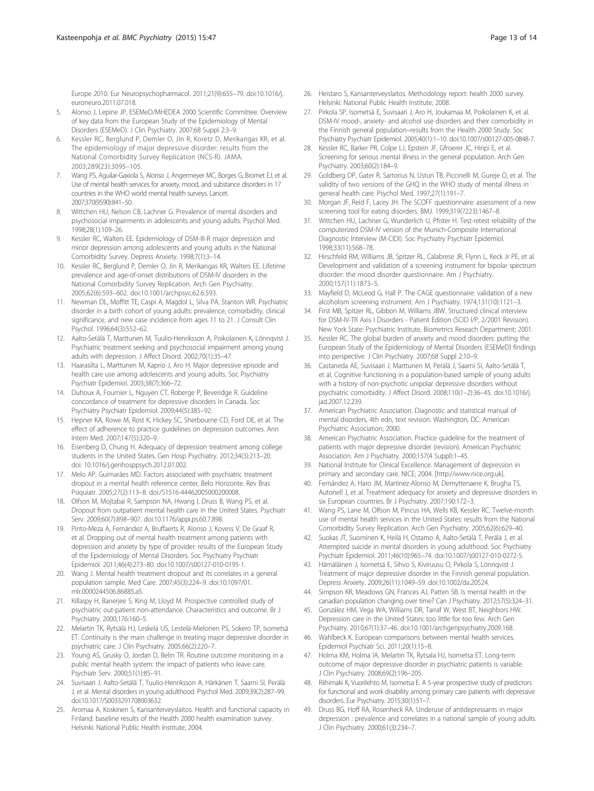<span id="page-13-0"></span>Europe 2010. Eur Neuropsychopharmacol. 2011;21(9):655–79. doi:10.1016/j. euroneuro.2011.07.018.

- 5. Alonso J, Lepine JP, ESEMeD/MHEDEA 2000 Scientific Committee. Overview of key data from the European Study of the Epidemiology of Mental Disorders (ESEMeD). J Clin Psychiatry. 2007;68 Suppl 2:3–9.
- 6. Kessler RC, Berglund P, Demler O, Jin R, Koretz D, Merikangas KR, et al. The epidemiology of major depressive disorder: results from the National Comorbidity Survey Replication (NCS-R). JAMA. 2003;289(23):3095–105.
- Wang PS, Aguilar-Gaxiola S, Alonso J, Angermeyer MC, Borges G, Bromet EJ, et al. Use of mental health services for anxiety, mood, and substance disorders in 17 countries in the WHO world mental health surveys. Lancet. 2007;370(9590):841–50.
- 8. Wittchen HU, Nelson CB, Lachner G. Prevalence of mental disorders and psychosocial impairments in adolescents and young adults. Psychol Med. 1998;28(1):109–26.
- 9. Kessler RC, Walters EE. Epidemiology of DSM-III-R major depression and minor depression among adolescents and young adults in the National Comorbidity Survey. Depress Anxiety. 1998;7(1):3–14.
- 10. Kessler RC, Berglund P, Demler O, Jin R, Merikangas KR, Walters EE. Lifetime prevalence and age-of-onset distributions of DSM-IV disorders in the National Comorbidity Survey Replication. Arch Gen Psychiatry. 2005;62(6):593–602. doi:10.1001/archpsyc.62.6.593.
- 11. Newman DL, Moffitt TE, Caspi A, Magdol L, Silva PA, Stanton WR. Psychiatric disorder in a birth cohort of young adults: prevalence, comorbidity, clinical significance, and new case incidence from ages 11 to 21. J Consult Clin Psychol. 1996;64(3):552–62.
- 12. Aalto-Setälä T, Marttunen M, Tuulio-Henriksson A, Poikolainen K, Lönnqvist J. Psychiatric treatment seeking and psychosocial impairment among young adults with depression. J Affect Disord. 2002;70(1):35–47.
- 13. Haarasilta L, Marttunen M, Kaprio J, Aro H. Major depressive episode and health care use among adolescents and young adults. Soc Psychiatry Psychiatr Epidemiol. 2003;38(7):366–72.
- 14. Duhoux A, Fournier L, Nguyen CT, Roberge P, Beveridge R. Guideline concordance of treatment for depressive disorders in Canada. Soc Psychiatry Psychiatr Epidemiol. 2009;44(5):385–92.
- 15. Hepner KA, Rowe M, Rost K, Hickey SC, Sherbourne CD, Ford DE, et al. The effect of adherence to practice guidelines on depression outcomes. Ann Intern Med. 2007;147(5):320–9.
- 16. Eisenberg D, Chung H. Adequacy of depression treatment among college students in the United States. Gen Hosp Psychiatry. 2012;34(3):213–20. doi: 10.1016/j.genhosppsych.2012.01.002.
- 17. Melo AP, Guimarães MD. Factors associated with psychiatric treatment dropout in a mental health reference center, Belo Horizonte. Rev Bras Psiquiatr. 2005;27(2):113–8. doi:/S1516-44462005000200008.
- 18. Olfson M, Mojtabai R, Sampson NA, Hwang I, Druss B, Wang PS, et al. Dropout from outpatient mental health care in the United States. Psychiatr Serv. 2009;60(7):898–907. doi:10.1176/appi.ps.60.7.898.
- 19. Pinto-Meza A, Fernández A, Bruffaerts R, Alonso J, Kovess V, De Graaf R, et al. Dropping out of mental health treatment among patients with depression and anxiety by type of provider: results of the European Study of the Epidemiology of Mental Disorders. Soc Psychiatry Psychiatr Epidemiol. 2011;46(4):273–80. doi:10.1007/s00127-010-0195-1.
- 20. Wang J. Mental health treatment dropout and its correlates in a general population sample. Med Care. 2007;45(3):224–9. doi:10.1097/01. mlr.0000244506.86885.a5.
- 21. Killaspy H, Banerjee S, King M, Lloyd M. Prospective controlled study of psychiatric out-patient non-attendance. Characteristics and outcome. Br J Psychiatry. 2000;176:160–5.
- 22. Melartin TK, Rytsälä HJ, Leskelä US, Lestelä-Mielonen PS, Sokero TP, Isometsä ET. Continuity is the main challenge in treating major depressive disorder in psychiatric care. J Clin Psychiatry. 2005;66(2):220–7.
- 23. Young AS, Grusky O, Jordan D, Belin TR. Routine outcome monitoring in a public mental health system: the impact of patients who leave care. Psychiatr Serv. 2000;51(1):85–91.
- 24. Suvisaari J, Aalto-Setälä T, Tuulio-Henriksson A, Härkänen T, Saarni SI, Perälä J, et al. Mental disorders in young adulthood. Psychol Med. 2009;39(2):287–99. doi:10.1017/S0033291708003632.
- 25. Aromaa A, Koskinen S, Kansanterveyslaitos. Health and functional capacity in Finland: baseline results of the Health 2000 health examination survey. Helsinki: National Public Health Institute; 2004.
- 26. Heistaro S, Kansanterveyslaitos. Methodology report: health 2000 survey. Helsinki: National Public Health Institute; 2008.
- 27. Pirkola SP, Isometsä E, Suvisaari J, Aro H, Joukamaa M, Poikolainen K, et al. DSM-IV mood-, anxiety- and alcohol use disorders and their comorbidity in the Finnish general population–results from the Health 2000 Study. Soc Psychiatry Psychiatr Epidemiol. 2005;40(1):1–10. doi:10.1007/s00127-005-0848-7.
- 28. Kessler RC, Barker PR, Colpe LJ, Epstein JF, Gfroerer JC, Hiripi E, et al. Screening for serious mental illness in the general population. Arch Gen Psychiatry. 2003;60(2):184–9.
- 29. Goldberg DP, Gater R, Sartorius N, Ustun TB, Piccinelli M, Gureje O, et al. The validity of two versions of the GHQ in the WHO study of mental illness in general health care. Psychol Med. 1997;27(1):191–7.
- 30. Morgan JF, Reid F, Lacey JH. The SCOFF questionnaire: assessment of a new screening tool for eating disorders. BMJ. 1999;319(7223):1467–8.
- 31. Wittchen HU, Lachner G, Wunderlich U, Pfister H. Test-retest reliability of the computerized DSM-IV version of the Munich-Composite International Diagnostic Interview (M-CIDI). Soc Psychiatry Psychiatr Epidemiol. 1998;33(11):568–78.
- 32. Hirschfeld RM, Williams JB, Spitzer RL, Calabrese JR, Flynn L, Keck Jr PE, et al. Development and validation of a screening instrument for bipolar spectrum disorder: the mood disorder questionnaire. Am J Psychiatry. 2000;157(11):1873–5.
- 33. Mayfield D, McLeod G, Hall P. The CAGE questionnaire: validation of a new alcoholism screening instrument. Am J Psychiatry. 1974;131(10):1121–3.
- 34. First MB, Spitzer RL, Gibbon M, Williams JBW. Structured clinical interview for DSM-IV-TR Axis I Disorders - Patient Edition (SCID I/P, 2/2001 Revision). New York State: Psychiatric Institute, Biometrics Reseach Department; 2001.
- 35. Kessler RC. The global burden of anxiety and mood disorders: putting the European Study of the Epidemiology of Mental Disorders (ESEMeD) findings into perspective. J Clin Psychiatry. 2007;68 Suppl 2:10–9.
- 36. Castaneda AE, Suvisaari J, Marttunen M, Perälä J, Saarni SI, Aalto-Setälä T, et al. Cognitive functioning in a population-based sample of young adults with a history of non-psychotic unipolar depressive disorders without psychiatric comorbidity. J Affect Disord. 2008;110(1–2):36–45. doi:10.1016/j. iad.2007.12.239.
- 37. American Psychiatric Association. Diagnostic and statistical manual of mental disorders, 4th edn, text revision. Washington, DC: American Psychiatric Association; 2000.
- 38. American Psychiatric Association. Practice guideline for the treatment of patients with major depressive disorder (revision). American Psychiatric Association. Am J Psychiatry. 2000;157(4 Suppl):1–45.
- 39. National Institute for Clinical Excellence. Management of depression in primary and secondary care. NICE; 2004. [\[http://www.nice.org.uk](http://www.nice.org.uk)].
- 40. Fernández A, Haro JM, Martinez-Alonso M, Demyttenaere K, Brugha TS, Autonell J, et al. Treatment adequacy for anxiety and depressive disorders in six European countries. Br J Psychiatry. 2007;190:172–3.
- 41. Wang PS, Lane M, Olfson M, Pincus HA, Wells KB, Kessler RC. Twelve-month use of mental health services in the United States: results from the National Comorbidity Survey Replication. Arch Gen Psychiatry. 2005;62(6):629–40.
- 42. Suokas JT, Suominen K, Heilä H, Ostamo A, Aalto-Setälä T, Perälä J, et al. Attempted suicide in mental disorders in young adulthood. Soc Psychiatry Psychiatr Epidemiol. 2011;46(10):965–74. doi:10.1007/s00127-010-0272-5.
- 43. Hämäläinen J, Isometsä E, Sihvo S, Kiviruusu O, Pirkola S, Lönnqvist J. Treatment of major depressive disorder in the Finnish general population. Depress Anxiety. 2009;26(11):1049–59. doi:10.1002/da.20524.
- 44. Simpson KR, Meadows GN, Frances AJ, Patten SB. Is mental health in the canadian population changing over time? Can J Psychiatry. 2012;57(5):324–31.
- 45. González HM, Vega WA, Williams DR, Tarraf W, West BT, Neighbors HW. Depression care in the United States: too little for too few. Arch Gen Psychiatry. 2010;67(1):37–46. doi:10.1001/archgenpsychiatry.2009.168.
- 46. Wahlbeck K. European comparisons between mental health services. Epidemiol Psychiatr Sci. 2011;20(1):15–8.
- 47. Holma KM, Holma IA, Melartin TK, Rytsala HJ, Isometsa ET. Long-term outcome of major depressive disorder in psychiatric patients is variable. J Clin Psychiatry. 2008;69(2):196–205.
- 48. Riihimaki K, Vuorilehto M, Isometsa E. A 5-year prospective study of predictors for functional and work disability among primary care patients with depressive disorders. Eur Psychiatry. 2015;30(1):51–7.
- 49. Druss BG, Hoff RA, Rosenheck RA. Underuse of antidepressants in major depression : prevalence and correlates in a national sample of young adults. J Clin Psychiatry. 2000;61(3):234–7.